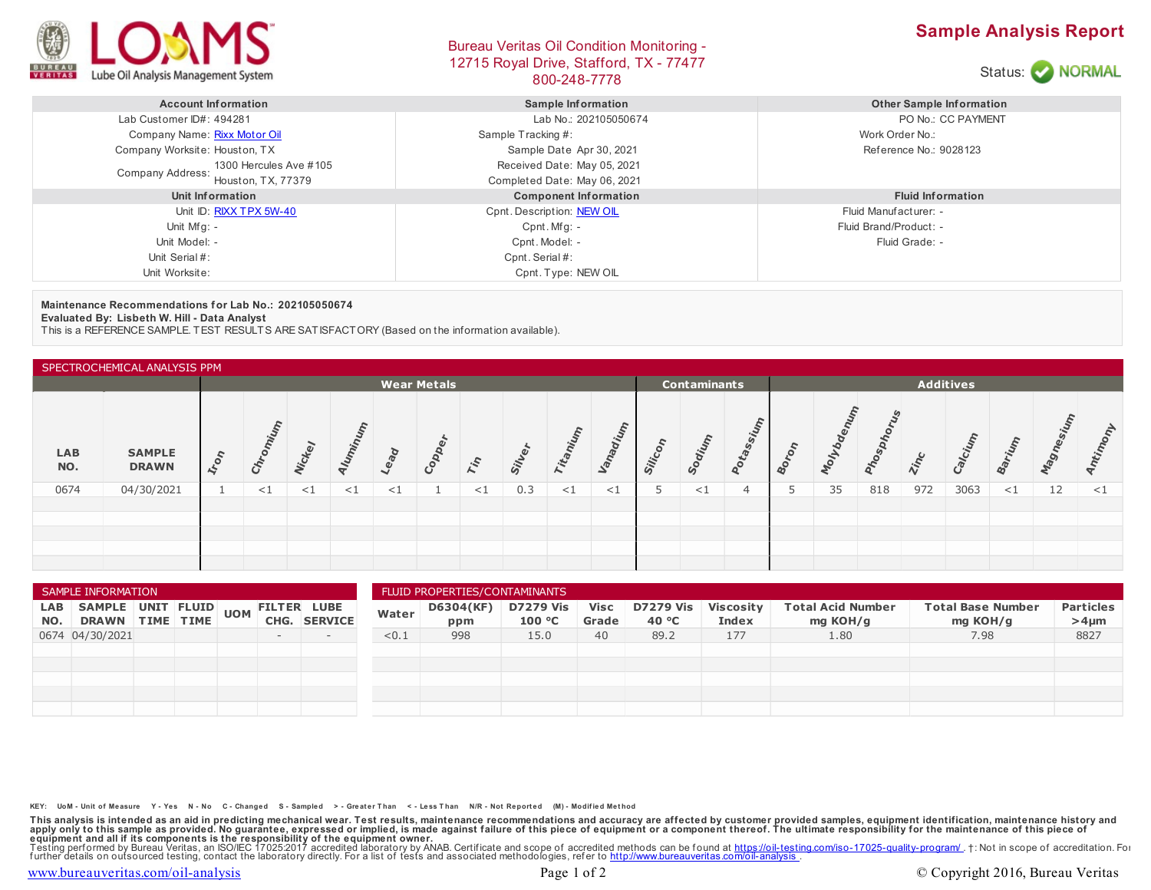

## Bureau Veritas Oil Condition Monitoring - 12715 Royal Drive, Stafford, TX - 77477 BOO-248-7778<br>800-248-7778





| <b>Account Information</b>                 | <b>Sample Information</b>    | <b>Other Sample Information</b> |
|--------------------------------------------|------------------------------|---------------------------------|
| Lab Customer ID#: 494281                   | Lab No.: 202105050674        | PO No.: CC PAYMENT              |
| Company Name: Rixx Motor Oil               | Sample Tracking #:           | Work Order No.:                 |
| Company Worksite: Houston, TX              | Sample Date Apr 30, 2021     | Reference No.: 9028123          |
| 1300 Hercules Ave #105<br>Company Address: | Received Date: May 05, 2021  |                                 |
| Houston, TX, 77379                         | Completed Date: May 06, 2021 |                                 |
| Unit Information                           | <b>Component Information</b> | <b>Fluid Information</b>        |
| Unit ID: RIXX TPX 5W-40                    | Cpnt. Description: NEW OIL   | Fluid Manufacturer: -           |
| Unit Mfg: -                                | $C$ pnt. Mfg: -              | Fluid Brand/Product: -          |
| Unit Model: -                              | Cpnt. Model: -               | Fluid Grade: -                  |
| Unit Serial #:                             | Cpnt. Serial #:              |                                 |
| Unit Worksite:                             | Cpnt. Type: NEW OIL          |                                 |

## **Maintenance Recommendations for Lab No.: 202105050674**

**Evaluated By: Lisbeth W. Hill - Data Analyst**

This is a REFERENCE SAMPLE. TEST RESULTS ARE SATISFACTORY (Based on the information available).

| SPECTROCHEMICAL ANALYSIS PPM |                               |                          |        |          |       |          |      |                                         |             |      |          |         |        |                |    |      |      |             |       |          |             |                                |
|------------------------------|-------------------------------|--------------------------|--------|----------|-------|----------|------|-----------------------------------------|-------------|------|----------|---------|--------|----------------|----|------|------|-------------|-------|----------|-------------|--------------------------------|
|                              | <b>Wear Metals</b>            |                          |        |          |       |          |      | <b>Additives</b><br><b>Contaminants</b> |             |      |          |         |        |                |    |      |      |             |       |          |             |                                |
| <b>LAB</b><br>NO.            | <b>SAMPLE</b><br><b>DRAWN</b> | $I_{r_{O_{r_{\gamma}}}}$ |        |          | Iumin | Lead     | Copp | Tin                                     | $\tilde{s}$ | Tita | Vanadium | Silicon | Sodium | otass          | 40 | olvo | hosp | <b>Zinc</b> | alcit | arium    | <b>VOGE</b> | $\tilde{\phantom{a}}$<br>Antin |
| 0674                         | 04/30/2021                    |                          | ${<}1$ | $\leq$ 1 | <1    | $\leq$ 1 |      | $<$ 1                                   | 0.3         | <1   | <1       | Þ       | <1     | $\overline{4}$ | 5  | 35   | 818  | 972         | 3063  | $\leq$ 1 | 12          | $<$ 1                          |
|                              |                               |                          |        |          |       |          |      |                                         |             |      |          |         |        |                |    |      |      |             |       |          |             |                                |
|                              |                               |                          |        |          |       |          |      |                                         |             |      |          |         |        |                |    |      |      |             |       |          |             |                                |
|                              |                               |                          |        |          |       |          |      |                                         |             |      |          |         |        |                |    |      |      |             |       |          |             |                                |
|                              |                               |                          |        |          |       |          |      |                                         |             |      |          |         |        |                |    |      |      |             |       |          |             |                                |

| SAMPLE INFORMATION |                                                          |  |  |  | FLUID PROPERTIES/CONTAMINANTS |              |       |                  |                            |                      |                           |                                  |                                      |                                      |                                |
|--------------------|----------------------------------------------------------|--|--|--|-------------------------------|--------------|-------|------------------|----------------------------|----------------------|---------------------------|----------------------------------|--------------------------------------|--------------------------------------|--------------------------------|
| LAB                | SAMPLE UNIT FLUID UOM FILTER LUBE<br>NO. DRAWN TIME TIME |  |  |  |                               | CHG. SERVICE | Water | D6304(KF)<br>ppm | <b>D7279 Vis</b><br>100 °C | <b>Visc</b><br>Grade | <b>D7279 Vis</b><br>40 °C | <b>Viscosity</b><br><b>Index</b> | <b>Total Acid Number</b><br>mg KOH/g | <b>Total Base Number</b><br>mg KOH/g | <b>Particles</b><br>$>4 \mu m$ |
|                    | 0674 04/30/2021                                          |  |  |  | $-$                           | $-$          | < 0.1 | 998              | 15.0                       | 40                   | 89.2                      | 177                              | 1.80                                 | 7.98                                 | 8827                           |
|                    |                                                          |  |  |  |                               |              |       |                  |                            |                      |                           |                                  |                                      |                                      |                                |
|                    |                                                          |  |  |  |                               |              |       |                  |                            |                      |                           |                                  |                                      |                                      |                                |
|                    |                                                          |  |  |  |                               |              |       |                  |                            |                      |                           |                                  |                                      |                                      |                                |
|                    |                                                          |  |  |  |                               |              |       |                  |                            |                      |                           |                                  |                                      |                                      |                                |
|                    |                                                          |  |  |  |                               |              |       |                  |                            |                      |                           |                                  |                                      |                                      |                                |

KEY: UoM - Unit of Measure Y - Yes N - No C - Changed S - Sampled > - Greater Than < - Less Than N/R - Not Reported (M) - Modified Method

This analysis is intended as an aid in predicting mechanical wear. Test results, maintenance recommendations and accuracy are affected by customer provided samples, equipment identification, maintenance history and equipme